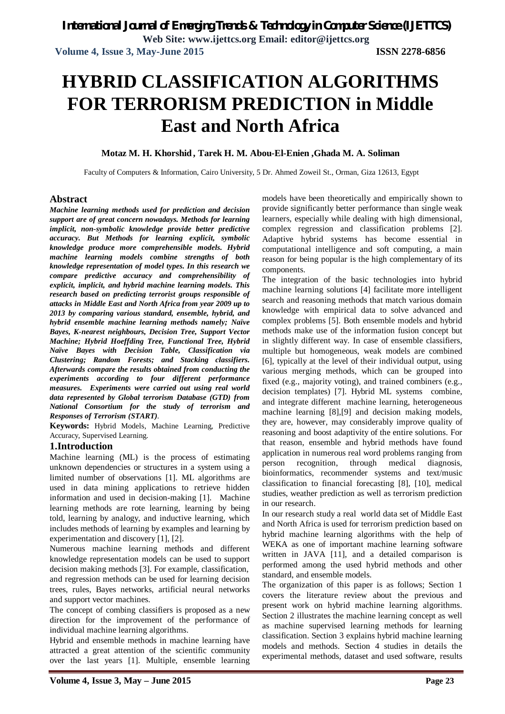# **HYBRID CLASSIFICATION ALGORITHMS FOR TERRORISM PREDICTION in Middle East and North Africa**

#### **Motaz M. H. Khorshid , Tarek H. M. Abou-El-Enien ,Ghada M. A. Soliman**

Faculty of Computers & Information, Cairo University, 5 Dr. Ahmed Zoweil St., Orman, Giza 12613, Egypt

#### **Abstract**

*Machine learning methods used for prediction and decision support are of great concern nowadays. Methods for learning implicit, non-symbolic knowledge provide better predictive accuracy. But Methods for learning explicit, symbolic knowledge produce more comprehensible models. Hybrid machine learning models combine strengths of both knowledge representation of model types. In this research we compare predictive accuracy and comprehensibility of explicit, implicit, and hybrid machine learning models. This research based on predicting terrorist groups responsible of attacks in Middle East and North Africa from year 2009 up to 2013 by comparing various standard, ensemble, hybrid, and hybrid ensemble machine learning methods namely; Naïve Bayes, K-nearest neighbours, Decision Tree, Support Vector Machine; Hybrid Hoeffding Tree, Functional Tree, Hybrid Naïve Bayes with Decision Table, Classification via Clustering; Random Forests; and Stacking classifiers. Afterwards compare the results obtained from conducting the experiments according to four different performance measures. Experiments were carried out using real world data represented by Global terrorism Database (GTD) from National Consortium for the study of terrorism and Responses of Terrorism (START).*

**Keywords:** Hybrid Models, Machine Learning, Predictive Accuracy, Supervised Learning.

#### **1.Introduction**

Machine learning (ML) is the process of estimating unknown dependencies or structures in a system using a limited number of observations [1]. ML algorithms are used in data mining applications to retrieve hidden information and used in decision-making [1]. Machine learning methods are rote learning, learning by being told, learning by analogy, and inductive learning, which includes methods of learning by examples and learning by experimentation and discovery [1], [2].

Numerous machine learning methods and different knowledge representation models can be used to support decision making methods [3]. For example, classification, and regression methods can be used for learning decision trees, rules, Bayes networks, artificial neural networks and support vector machines.

The concept of combing classifiers is proposed as a new direction for the improvement of the performance of individual machine learning algorithms.

Hybrid and ensemble methods in machine learning have attracted a great attention of the scientific community over the last years [1]. Multiple, ensemble learning

models have been theoretically and empirically shown to provide significantly better performance than single weak learners, especially while dealing with high dimensional, complex regression and classification problems [2]. Adaptive hybrid systems has become essential in computational intelligence and soft computing, a main reason for being popular is the high complementary of its components.

The integration of the basic technologies into hybrid machine learning solutions [4] facilitate more intelligent search and reasoning methods that match various domain knowledge with empirical data to solve advanced and complex problems [5]. Both ensemble models and hybrid methods make use of the information fusion concept but in slightly different way. In case of ensemble classifiers, multiple but homogeneous, weak models are combined [6], typically at the level of their individual output, using various merging methods, which can be grouped into fixed (e.g., majority voting), and trained combiners (e.g., decision templates) [7]. Hybrid ML systems combine, and integrate different machine learning, heterogeneous machine learning [8],[9] and decision making models, they are, however, may considerably improve quality of reasoning and boost adaptivity of the entire solutions. For that reason, ensemble and hybrid methods have found application in numerous real word problems ranging from person recognition, through medical diagnosis, bioinformatics, recommender systems and text/music classification to financial forecasting [8], [10], medical studies, weather prediction as well as terrorism prediction in our research.

In our research study a real world data set of Middle East and North Africa is used for terrorism prediction based on hybrid machine learning algorithms with the help of WEKA as one of important machine learning software written in JAVA [11], and a detailed comparison is performed among the used hybrid methods and other standard, and ensemble models.

The organization of this paper is as follows; Section 1 covers the literature review about the previous and present work on hybrid machine learning algorithms. Section 2 illustrates the machine learning concept as well as machine supervised learning methods for learning classification. Section 3 explains hybrid machine learning models and methods. Section 4 studies in details the experimental methods, dataset and used software, results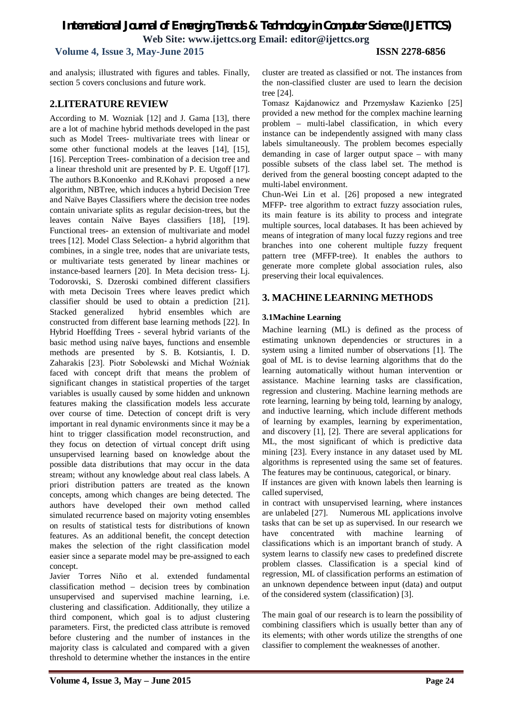**Volume 4, Issue 3, May-June 2015 ISSN 2278-6856**

and analysis; illustrated with figures and tables. Finally, section 5 covers conclusions and future work.

# **2.LITERATURE REVIEW**

According to M. Wozniak [12] and J. Gama [13], there are a lot of machine hybrid methods developed in the past such as Model Trees- multivariate trees with linear or some other functional models at the leaves [14], [15], [16]. Perception Trees- combination of a decision tree and a linear threshold unit are presented by P. E. Utgoff [17]. The authors B.Konoenko and R.Kohavi proposed a new algorithm, NBTree, which induces a hybrid Decision Tree and Naïve Bayes Classifiers where the decision tree nodes contain univariate splits as regular decision-trees, but the leaves contain Naïve Bayes classifiers [18], [19]. Functional trees- an extension of multivariate and model trees [12]. Model Class Selection- a hybrid algorithm that combines, in a single tree, nodes that are univariate tests, or multivariate tests generated by linear machines or instance-based learners [20]. In Meta decision tress- Lj. Todorovski, S. Dzeroski combined different classifiers with meta Decisoin Trees where leaves predict which classifier should be used to obtain a prediction [21]. Stacked generalized hybrid ensembles which are constructed from different base learning methods [22]. In Hybrid Hoeffding Trees - several hybrid variants of the basic method using naïve bayes, functions and ensemble methods are presented by S. B. Kotsiantis, I. D. Zaharakis [23]. Piotr Sobolewski and Michał Woźniak faced with concept drift that means the problem of significant changes in statistical properties of the target variables is usually caused by some hidden and unknown features making the classification models less accurate over course of time. Detection of concept drift is very important in real dynamic environments since it may be a hint to trigger classification model reconstruction, and they focus on detection of virtual concept drift using unsupervised learning based on knowledge about the possible data distributions that may occur in the data stream; without any knowledge about real class labels. A priori distribution patters are treated as the known concepts, among which changes are being detected. The authors have developed their own method called simulated recurrence based on majority voting ensembles on results of statistical tests for distributions of known features. As an additional benefit, the concept detection makes the selection of the right classification model easier since a separate model may be pre-assigned to each concept.

Javier Torres Niño et al. extended fundamental classification method – decision trees by combination unsupervised and supervised machine learning, i.e. clustering and classification. Additionally, they utilize a third component, which goal is to adjust clustering parameters. First, the predicted class attribute is removed before clustering and the number of instances in the majority class is calculated and compared with a given threshold to determine whether the instances in the entire

cluster are treated as classified or not. The instances from the non-classified cluster are used to learn the decision tree [24].

Tomasz Kajdanowicz and Przemysław Kazienko [25] provided a new method for the complex machine learning problem – multi-label classification, in which every instance can be independently assigned with many class labels simultaneously. The problem becomes especially demanding in case of larger output space – with many possible subsets of the class label set. The method is derived from the general boosting concept adapted to the multi-label environment.

Chun-Wei Lin et al. [26] proposed a new integrated MFFP- tree algorithm to extract fuzzy association rules, its main feature is its ability to process and integrate multiple sources, local databases. It has been achieved by means of integration of many local fuzzy regions and tree branches into one coherent multiple fuzzy frequent pattern tree (MFFP-tree). It enables the authors to generate more complete global association rules, also preserving their local equivalences.

# **3. MACHINE LEARNING METHODS**

#### **3.1Machine Learning**

Machine learning (ML) is defined as the process of estimating unknown dependencies or structures in a system using a limited number of observations [1]. The goal of ML is to devise learning algorithms that do the learning automatically without human intervention or assistance. Machine learning tasks are classification, regression and clustering. Machine learning methods are rote learning, learning by being told, learning by analogy, and inductive learning, which include different methods of learning by examples, learning by experimentation, and discovery [1], [2]. There are several applications for ML, the most significant of which is predictive data mining [23]. Every instance in any dataset used by ML algorithms is represented using the same set of features. The features may be continuous, categorical, or binary.

If instances are given with known labels then learning is called supervised,

in contract with unsupervised learning, where instances are unlabeled [27]. Numerous ML applications involve tasks that can be set up as supervised. In our research we have concentrated with machine learning of classifications which is an important branch of study. A system learns to classify new cases to predefined discrete problem classes. Classification is a special kind of regression, ML of classification performs an estimation of an unknown dependence between input (data) and output of the considered system (classification) [3].

The main goal of our research is to learn the possibility of combining classifiers which is usually better than any of its elements; with other words utilize the strengths of one classifier to complement the weaknesses of another.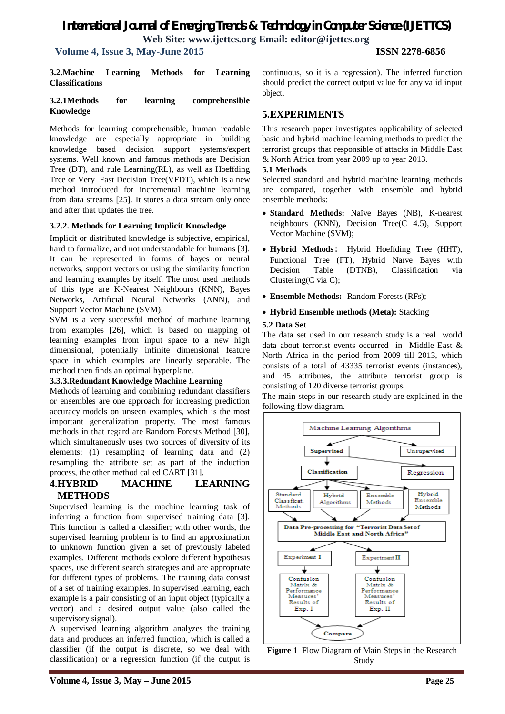# *International Journal of Emerging Trends & Technology in Computer Science (IJETTCS)*

**Web Site: www.ijettcs.org Email: editor@ijettcs.org** 

 **Volume 4, Issue 3, May-June 2015 ISSN 2278-6856**

**3.2.Machine Learning Methods for Learning Classifications**

#### **3.2.1Methods for learning comprehensible Knowledge**

Methods for learning comprehensible, human readable knowledge are especially appropriate in building knowledge based decision support systems/expert systems. Well known and famous methods are Decision Tree (DT), and rule Learning(RL), as well as Hoeffding Tree or Very Fast Decision Tree(VFDT), which is a new method introduced for incremental machine learning from data streams [25]. It stores a data stream only once and after that updates the tree.

#### **3.2.2. Methods for Learning Implicit Knowledge**

Implicit or distributed knowledge is subjective, empirical, hard to formalize, and not understandable for humans [3]. It can be represented in forms of bayes or neural networks, support vectors or using the similarity function and learning examples by itself. The most used methods of this type are K-Nearest Neighbours (KNN), Bayes Networks, Artificial Neural Networks (ANN), and Support Vector Machine (SVM).

SVM is a very successful method of machine learning from examples [26], which is based on mapping of learning examples from input space to a new high dimensional, potentially infinite dimensional feature space in which examples are linearly separable. The method then finds an optimal hyperplane.

#### **3.3.3.Redundant Knowledge Machine Learning**

Methods of learning and combining redundant classifiers or ensembles are one approach for increasing prediction accuracy models on unseen examples, which is the most important generalization property. The most famous methods in that regard are Random Forests Method [30], which simultaneously uses two sources of diversity of its elements: (1) resampling of learning data and (2) resampling the attribute set as part of the induction process, the other method called CART [31].

### **4.HYBRID MACHINE LEARNING METHODS**

Supervised learning is the machine learning task of inferring a function from supervised training data [3]. This function is called a classifier; with other words, the supervised learning problem is to find an approximation to unknown function given a set of previously labeled examples. Different methods explore different hypothesis spaces, use different search strategies and are appropriate for different types of problems. The training data consist of a set of training examples. In supervised learning, each example is a pair consisting of an input object (typically a vector) and a desired output value (also called the supervisory signal).

A supervised learning algorithm analyzes the training data and produces an inferred function, which is called a classifier (if the output is discrete, so we deal with classification) or a regression function (if the output is

**Volume 4, Issue 3, May – June 2015 Page 25**

continuous, so it is a regression). The inferred function should predict the correct output value for any valid input object.

### **5.EXPERIMENTS**

This research paper investigates applicability of selected basic and hybrid machine learning methods to predict the terrorist groups that responsible of attacks in Middle East & North Africa from year 2009 up to year 2013.

#### **5.1 Methods**

Selected standard and hybrid machine learning methods are compared, together with ensemble and hybrid ensemble methods:

- **Standard Methods:** Naïve Bayes (NB), K-nearest neighbours (KNN), Decision Tree(C 4.5), Support Vector Machine (SVM);
- **Hybrid Methods**: Hybrid Hoeffding Tree (HHT), Functional Tree (FT), Hybrid Naïve Bayes with Decision Table (DTNB), Classification via Clustering(C via C);
- **Ensemble Methods:** Random Forests (RFs);
- **Hybrid Ensemble methods (Meta):** Stacking

#### **5.2 Data Set**

The data set used in our research study is a real world data about terrorist events occurred in Middle East & North Africa in the period from 2009 till 2013, which consists of a total of 43335 terrorist events (instances), and 45 attributes, the attribute terrorist group is consisting of 120 diverse terrorist groups.

The main steps in our research study are explained in the following flow diagram.



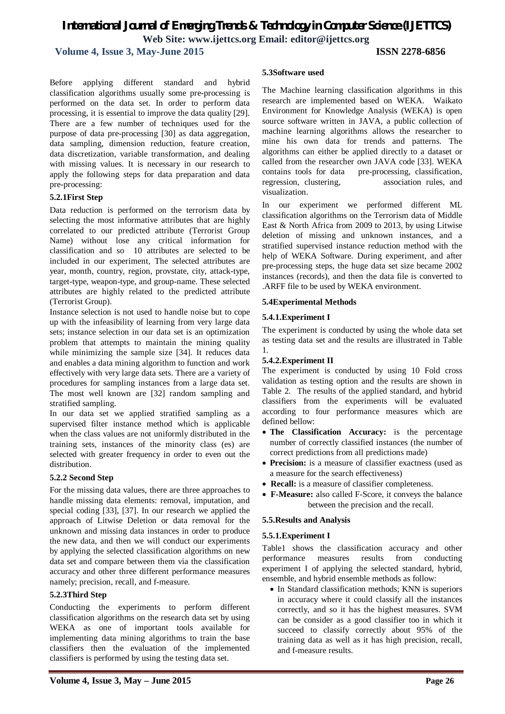**Volume 4, Issue 3, May-June 2015 ISSN 2278-6856**

Before applying different standard and hybrid classification algorithms usually some pre-processing is performed on the data set. In order to perform data processing, it is essential to improve the data quality [29]. There are a few number of techniques used for the purpose of data pre-processing [30] as data aggregation, data sampling, dimension reduction, feature creation, data discretization, variable transformation, and dealing with missing values. It is necessary in our research to apply the following steps for data preparation and data pre-processing:

#### **5.2.1First Step**

Data reduction is performed on the terrorism data by selecting the most informative attributes that are highly correlated to our predicted attribute (Terrorist Group Name) without lose any critical information for classification and so 10 attributes are selected to be included in our experiment, The selected attributes are year, month, country, region, provstate, city, attack-type, target-type, weapon-type, and group-name. These selected attributes are highly related to the predicted attribute (Terrorist Group).

Instance selection is not used to handle noise but to cope up with the infeasibility of learning from very large data sets; instance selection in our data set is an optimization problem that attempts to maintain the mining quality while minimizing the sample size [34]. It reduces data and enables a data mining algorithm to function and work effectively with very large data sets. There are a variety of procedures for sampling instances from a large data set. The most well known are [32] random sampling and stratified sampling.

In our data set we applied stratified sampling as a supervised filter instance method which is applicable when the class values are not uniformly distributed in the training sets, instances of the minority class (es) are selected with greater frequency in order to even out the distribution.

#### **5.2.2 Second Step**

For the missing data values, there are three approaches to handle missing data elements: removal, imputation, and special coding [33], [37]. In our research we applied the approach of Litwise Deletion or data removal for the unknown and missing data instances in order to produce the new data, and then we will conduct our experiments by applying the selected classification algorithms on new data set and compare between them via the classification accuracy and other three different performance measures namely; precision, recall, and f-measure.

#### **5.2.3Third Step**

Conducting the experiments to perform different classification algorithms on the research data set by using WEKA as one of important tools available for implementing data mining algorithms to train the base classifiers then the evaluation of the implemented classifiers is performed by using the testing data set.

The Machine learning classification algorithms in this research are implemented based on WEKA. Waikato Environment for Knowledge Analysis (WEKA) is open source software written in JAVA, a public collection of machine learning algorithms allows the researcher to mine his own data for trends and patterns. The algorithms can either be applied directly to a dataset or called from the researcher own JAVA code [33]. WEKA contains tools for data pre-processing, classification, regression, clustering, association rules, and visualization.

In our experiment we performed different ML classification algorithms on the Terrorism data of Middle East & North Africa from 2009 to 2013, by using Litwise deletion of missing and unknown instances, and a stratified supervised instance reduction method with the help of WEKA Software. During experiment, and after pre-processing steps, the huge data set size became 2002 instances (records), and then the data file is converted to .ARFF file to be used by WEKA environment.

#### **5.4Experimental Methods**

#### **5.4.1.Experiment I**

The experiment is conducted by using the whole data set as testing data set and the results are illustrated in Table 1.

#### **5.4.2.Experiment II**

The experiment is conducted by using 10 Fold cross validation as testing option and the results are shown in Table 2*.* The results of the applied standard, and hybrid classifiers from the experiments will be evaluated according to four performance measures which are defined bellow:

- **The Classification Accuracy:** is the percentage number of correctly classified instances (the number of correct predictions from all predictions made)
- **Precision:** is a measure of classifier exactness (used as a measure for the search effectiveness)
- **Recall:** is a measure of classifier completeness.
- **F-Measure:** also called F-Score, it conveys the balance between the precision and the recall.

#### **5.5.Results and Analysis**

#### **5.5.1.Experiment I**

Table1 shows the classification accuracy and other performance measures results from conducting experiment I of applying the selected standard, hybrid, ensemble, and hybrid ensemble methods as follow:

• In Standard classification methods; KNN is superiors in accuracy where it could classify all the instances correctly, and so it has the highest measures. SVM can be consider as a good classifier too in which it succeed to classify correctly about 95% of the training data as well as it has high precision, recall, and f-measure results.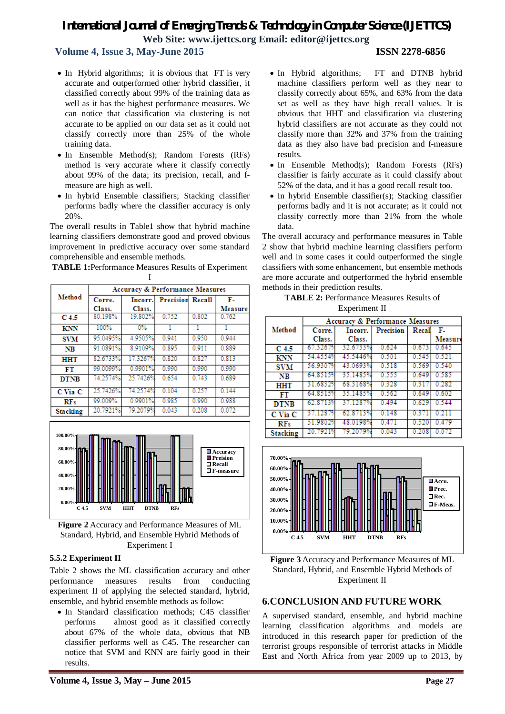# **Volume 4, Issue 3, May-June 2015 ISSN 2278-6856**

- In Hybrid algorithms; it is obvious that FT is very accurate and outperformed other hybrid classifier, it classified correctly about 99% of the training data as well as it has the highest performance measures. We can notice that classification via clustering is not accurate to be applied on our data set as it could not classify correctly more than 25% of the whole training data.
- In Ensemble Method(s); Random Forests (RFs) method is very accurate where it classify correctly about 99% of the data; its precision, recall, and fmeasure are high as well.
- In hybrid Ensemble classifiers; Stacking classifier performs badly where the classifier accuracy is only 20%.

The overall results in Table1 show that hybrid machine learning classifiers demonstrate good and proved obvious improvement in predictive accuracy over some standard comprehensible and ensemble methods.

**TABLE 1:**Performance Measures Results of Experiment I

|                  | <b>Accuracy &amp; Performance Measures</b> |          |                         |       |         |  |  |
|------------------|--------------------------------------------|----------|-------------------------|-------|---------|--|--|
| Method           | Corre.                                     | Incorr.  | <b>Precision Recall</b> |       | F-      |  |  |
|                  | Class.                                     | Class.   |                         |       | Measure |  |  |
| C <sub>4.5</sub> | 80.198%                                    | 19.802%  | 0.752                   | 0.802 | 0.762   |  |  |
| KNN              | 100%                                       | $0\%$    | 1                       | 1     |         |  |  |
| <b>SVM</b>       | 95.0495%                                   | 4.9505%  | 0.941                   | 0.950 | 0.944   |  |  |
| NB               | 91.0891%                                   | 8.9109%  | 0.895                   | 0.911 | 0.889   |  |  |
| <b>HHT</b>       | 82.6733%                                   | 17.3267% | 0.820                   | 0.827 | 0.813   |  |  |
| FT               | 99.0099%                                   | 0.9901%  | 0.990                   | 0.990 | 0.990   |  |  |
| <b>DTNB</b>      | 74.2574%                                   | 25.7426% | 0.654                   | 0.743 | 0.689   |  |  |
| C Via C          | 25.7426%                                   | 74.2574% | 0.104                   | 0.257 | 0.144   |  |  |
| RFs              | 99.009%                                    | 0.9901%  | 0.985                   | 0.990 | 0.988   |  |  |
| <b>Stacking</b>  | 20.7921%                                   | 79.2079% | 0.043                   | 0.208 | 0.072   |  |  |



**Figure 2** Accuracy and Performance Measures of ML Standard, Hybrid, and Ensemble Hybrid Methods of Experiment I

#### **5.5.2 Experiment II**

Table 2 shows the ML classification accuracy and other performance measures results from conducting experiment II of applying the selected standard, hybrid, ensemble, and hybrid ensemble methods as follow:

• In Standard classification methods: C45 classifier performs almost good as it classified correctly about 67% of the whole data, obvious that NB classifier performs well as C45. The researcher can notice that SVM and KNN are fairly good in their results.

- In Hybrid algorithms; FT and DTNB hybrid machine classifiers perform well as they near to classify correctly about 65%, and 63% from the data set as well as they have high recall values. It is obvious that HHT and classification via clustering hybrid classifiers are not accurate as they could not classify more than 32% and 37% from the training data as they also have bad precision and f-measure results.
- In Ensemble Method(s); Random Forests (RFs) classifier is fairly accurate as it could classify about 52% of the data, and it has a good recall result too.
- In hybrid Ensemble classifier(s); Stacking classifier performs badly and it is not accurate; as it could not classify correctly more than 21% from the whole data.

The overall accuracy and performance measures in Table 2 show that hybrid machine learning classifiers perform well and in some cases it could outperformed the single classifiers with some enhancement, but ensemble methods are more accurate and outperformed the hybrid ensemble methods in their prediction results.

**TABLE 2:** Performance Measures Results of Experiment II

|                 | Accuracy & Performance Measures |          |           |       |         |  |  |
|-----------------|---------------------------------|----------|-----------|-------|---------|--|--|
| Method          | Corre.                          | Incorr.  | Precision | Recal | - F.,   |  |  |
|                 | Class.                          | Class.   |           |       | Measure |  |  |
| C 4.5           | 67.3267%                        | 32.6733% | 0.624     | 0.67  | 0.645   |  |  |
| KNN             | 54.4554%                        | 45.5446% | 0.501     | 0.545 | 0.521   |  |  |
| <b>SVM</b>      | 56.9307%                        | 43.0693% | 0.518     | 0.569 | 0.540   |  |  |
| NB              | 64.85159                        | 35.1485% | 0.555     | 0.649 | 0.585   |  |  |
| HHT             | 31.68329                        | 68.3168% | 0.328     | 0 R I | 0 282   |  |  |
| FT              | 64 8515%                        | 35.1485% | 0.562     | 0.649 | 0.602   |  |  |
| <b>DTNB</b>     | 62.87139                        | 37.1287% | 0.494     | 0.629 | 0.544   |  |  |
| C Via C         | 37.1287%                        | 62.8713% | 0 148     | 03    | 0.21    |  |  |
| RFs             | 51.9802%                        | 48.0198% | 0.471     | 0.520 | 0.479   |  |  |
| <b>Stacking</b> | 20 7921%                        | 79.2079% |           | 0.208 | 0 O     |  |  |





### **6.CONCLUSION AND FUTURE WORK**

A supervised standard, ensemble, and hybrid machine learning classification algorithms and models are introduced in this research paper for prediction of the terrorist groups responsible of terrorist attacks in Middle East and North Africa from year 2009 up to 2013, by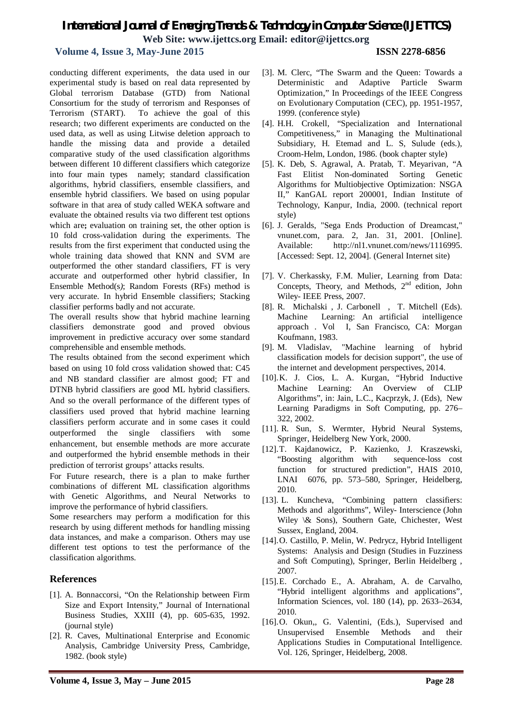### **Volume 4, Issue 3, May-June 2015 ISSN 2278-6856**

conducting different experiments, the data used in our experimental study is based on real data represented by Global terrorism Database (GTD) from National Consortium for the study of terrorism and Responses of Terrorism (START). To achieve the goal of this research; two different experiments are conducted on the used data, as well as using Litwise deletion approach to handle the missing data and provide a detailed comparative study of the used classification algorithms between different 10 different classifiers which categorize into four main types namely; standard classification algorithms, hybrid classifiers, ensemble classifiers, and ensemble hybrid classifiers. We based on using popular software in that area of study called WEKA software and evaluate the obtained results via two different test options which are**;** evaluation on training set, the other option is 10 fold cross-validation during the experiments. The results from the first experiment that conducted using the whole training data showed that KNN and SVM are outperformed the other standard classifiers, FT is very accurate and outperformed other hybrid classifier, In Ensemble Method(s*)*; Random Forests (RFs) method is very accurate. In hybrid Ensemble classifiers; Stacking classifier performs badly and not accurate.

The overall results show that hybrid machine learning classifiers demonstrate good and proved obvious improvement in predictive accuracy over some standard comprehensible and ensemble methods.

The results obtained from the second experiment which based on using 10 fold cross validation showed that: C45 and NB standard classifier are almost good; FT and DTNB hybrid classifiers are good ML hybrid classifiers. And so the overall performance of the different types of classifiers used proved that hybrid machine learning classifiers perform accurate and in some cases it could outperformed the single classifiers with some enhancement, but ensemble methods are more accurate and outperformed the hybrid ensemble methods in their prediction of terrorist groups' attacks results.

For Future research, there is a plan to make further combinations of different ML classification algorithms with Genetic Algorithms, and Neural Networks to improve the performance of hybrid classifiers.

Some researchers may perform a modification for this research by using different methods for handling missing data instances, and make a comparison. Others may use different test options to test the performance of the classification algorithms.

### **References**

- [1]. A. Bonnaccorsi, "On the Relationship between Firm Size and Export Intensity," Journal of International Business Studies, XXIII (4), pp. 605-635, 1992. (journal style)
- [2]. R. Caves, Multinational Enterprise and Economic Analysis, Cambridge University Press, Cambridge, 1982. (book style)
- [3]. M. Clerc, "The Swarm and the Queen: Towards a Deterministic and Adaptive Particle Swarm Optimization," In Proceedings of the IEEE Congress on Evolutionary Computation (CEC), pp. 1951-1957, 1999. (conference style)
- [4]. H.H. Crokell, "Specialization and International Competitiveness," in Managing the Multinational Subsidiary, H. Etemad and L. S, Sulude (eds.), Croom-Helm, London, 1986. (book chapter style)
- [5]. K. Deb, S. Agrawal, A. Pratab, T. Meyarivan, "A Fast Elitist Non-dominated Sorting Genetic Algorithms for Multiobjective Optimization: NSGA II," KanGAL report 200001, Indian Institute of Technology, Kanpur, India, 2000. (technical report style)
- [6]. J. Geralds, "Sega Ends Production of Dreamcast," vnunet.com, para. 2, Jan. 31, 2001. [Online]. Available: http://nl1.vnunet.com/news/1116995. [Accessed: Sept. 12, 2004]. (General Internet site)
- [7]. V. Cherkassky, F.M. Mulier, Learning from Data: Concepts, Theory, and Methods,  $2<sup>nd</sup>$  edition, John Wiley- IEEE Press, 2007.
- [8]. R. Michalski , J. Carbonell , T. Mitchell (Eds). Machine Learning: An artificial intelligence approach . Vol I, San Francisco, CA: Morgan Koufmann, 1983.
- [9]. M. Vladislav, "Machine learning of hybrid classification models for decision support", the use of the internet and development perspectives, 2014.
- [10].K. J. Cios, L. A. Kurgan, "Hybrid Inductive Machine Learning: An Overview of CLIP Algorithms", in: Jain, L.C., Kacprzyk, J. (Eds), New Learning Paradigms in Soft Computing, pp. 276– 322, 2002.
- [11]. R. Sun, S. Wermter, Hybrid Neural Systems, Springer, Heidelberg New York, 2000.
- [12].T. Kajdanowicz, P. Kazienko, J. Kraszewski, "Boosting algorithm with sequence-loss cost function for structured prediction", HAIS 2010, LNAI 6076, pp. 573–580, Springer, Heidelberg, 2010.
- [13]. L. Kuncheva, "Combining pattern classifiers: Methods and algorithms", Wiley- Interscience (John Wiley \& Sons), Southern Gate, Chichester, West Sussex, England, 2004.
- [14].O. Castillo, P. Melin, W. Pedrycz, Hybrid Intelligent Systems: Analysis and Design (Studies in Fuzziness and Soft Computing), Springer, Berlin Heidelberg , 2007.
- [15].E. Corchado E., A. Abraham, A. de Carvalho, "Hybrid intelligent algorithms and applications", Information Sciences, vol. 180 (14), pp. 2633–2634, 2010.
- [16].O. Okun,, G. Valentini, (Eds.), Supervised and Unsupervised Ensemble Methods and their Applications Studies in Computational Intelligence. Vol. 126, Springer, Heidelberg, 2008.